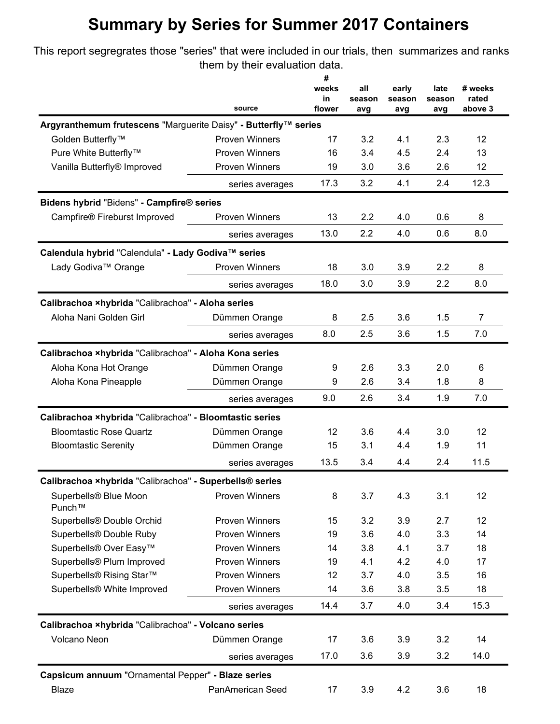## **Summary by Series for Summer 2017 Containers**

This report segregrates those "series" that were included in our trials, then summarizes and ranks them by their evaluation data.

|                                                                                        | source                | #<br>weeks<br>in<br>flower | all<br>season | early<br>season | late<br>season<br>avg | # weeks<br>rated<br>above 3 |
|----------------------------------------------------------------------------------------|-----------------------|----------------------------|---------------|-----------------|-----------------------|-----------------------------|
| Argyranthemum frutescens "Marguerite Daisy" - Butterfly™ series                        |                       |                            | avg           | avg             |                       |                             |
| Golden Butterfly <sup>™</sup>                                                          | <b>Proven Winners</b> | 17                         | 3.2           | 4.1             | 2.3                   | 12                          |
| Pure White Butterfly™                                                                  | <b>Proven Winners</b> | 16                         | 3.4           | 4.5             | 2.4                   | 13                          |
| Vanilla Butterfly® Improved                                                            | <b>Proven Winners</b> | 19                         | 3.0           | 3.6             | 2.6                   | 12                          |
|                                                                                        |                       | 17.3                       | 3.2           | 4.1             | 2.4                   | 12.3                        |
|                                                                                        | series averages       |                            |               |                 |                       |                             |
| Bidens hybrid "Bidens" - Campfire® series                                              |                       |                            |               |                 |                       |                             |
| Campfire® Fireburst Improved                                                           | <b>Proven Winners</b> | 13                         | 2.2           | 4.0             | 0.6                   | 8                           |
|                                                                                        | series averages       | 13.0                       | 2.2           | 4.0             | 0.6                   | 8.0                         |
| Calendula hybrid "Calendula" - Lady Godiva™ series                                     |                       |                            |               |                 |                       |                             |
| Lady Godiva™ Orange                                                                    | <b>Proven Winners</b> | 18                         | 3.0           | 3.9             | 2.2                   | 8                           |
|                                                                                        | series averages       | 18.0                       | 3.0           | 3.9             | 2.2                   | 8.0                         |
| Calibrachoa xhybrida "Calibrachoa" - Aloha series                                      |                       |                            |               |                 |                       |                             |
| Aloha Nani Golden Girl                                                                 | Dümmen Orange         | 8                          | 2.5           | 3.6             | 1.5                   | $\overline{7}$              |
|                                                                                        | series averages       | 8.0                        | 2.5           | 3.6             | 1.5                   | 7.0                         |
| Calibrachoa ×hybrida "Calibrachoa" - Aloha Kona series                                 |                       |                            |               |                 |                       |                             |
| Aloha Kona Hot Orange                                                                  | Dümmen Orange         | 9                          | 2.6           | 3.3             | 2.0                   | 6                           |
| Aloha Kona Pineapple                                                                   | Dümmen Orange         | 9                          | 2.6           | 3.4             | 1.8                   | 8                           |
|                                                                                        | series averages       | 9.0                        | 2.6           | 3.4             | 1.9                   | 7.0                         |
| Calibrachoa ×hybrida "Calibrachoa" - Bloomtastic series                                |                       |                            |               |                 |                       |                             |
| <b>Bloomtastic Rose Quartz</b>                                                         | Dümmen Orange         | 12                         | 3.6           | 4.4             | 3.0                   | 12                          |
| <b>Bloomtastic Serenity</b><br>Calibrachoa ×hybrida "Calibrachoa" - Superbells® series | Dümmen Orange         | 15                         | 3.1           | 4.4             | 1.9                   | 11                          |
|                                                                                        | series averages       | 13.5                       | 3.4           | 4.4             | 2.4                   | 11.5                        |
|                                                                                        |                       |                            |               |                 |                       |                             |
| Superbells® Blue Moon                                                                  | <b>Proven Winners</b> | 8                          | 3.7           | 4.3             | 3.1                   | 12                          |
| Punch™                                                                                 |                       |                            |               |                 |                       |                             |
| Superbells® Double Orchid                                                              | <b>Proven Winners</b> | 15                         | 3.2           | 3.9             | 2.7                   | 12                          |
| Superbells® Double Ruby                                                                | <b>Proven Winners</b> | 19                         | 3.6           | 4.0             | 3.3                   | 14                          |
| Superbells® Over Easy <sup>™</sup>                                                     | Proven Winners        | 14                         | 3.8           | 4.1             | 3.7                   | 18                          |
| Superbells® Plum Improved                                                              | <b>Proven Winners</b> | 19                         | 4.1           | 4.2             | 4.0                   | 17                          |
| Superbells® Rising Star™                                                               | <b>Proven Winners</b> | 12                         | 3.7           | 4.0             | 3.5                   | 16                          |
| Superbells® White Improved                                                             | <b>Proven Winners</b> | 14                         | 3.6           | 3.8             | 3.5                   | 18                          |
|                                                                                        | series averages       | 14.4                       | 3.7           | 4.0             | 3.4                   | 15.3                        |
| Calibrachoa xhybrida "Calibrachoa" - Volcano series                                    |                       |                            |               |                 |                       |                             |
| Volcano Neon                                                                           | Dümmen Orange         | 17                         | 3.6           | 3.9             | 3.2                   | 14                          |
|                                                                                        | series averages       | 17.0                       | 3.6           | 3.9             | 3.2                   | 14.0                        |
| Capsicum annuum "Ornamental Pepper" - Blaze series                                     |                       |                            |               |                 |                       |                             |
| Blaze                                                                                  | PanAmerican Seed      | 17                         | 3.9           | 4.2             | 3.6                   | 18                          |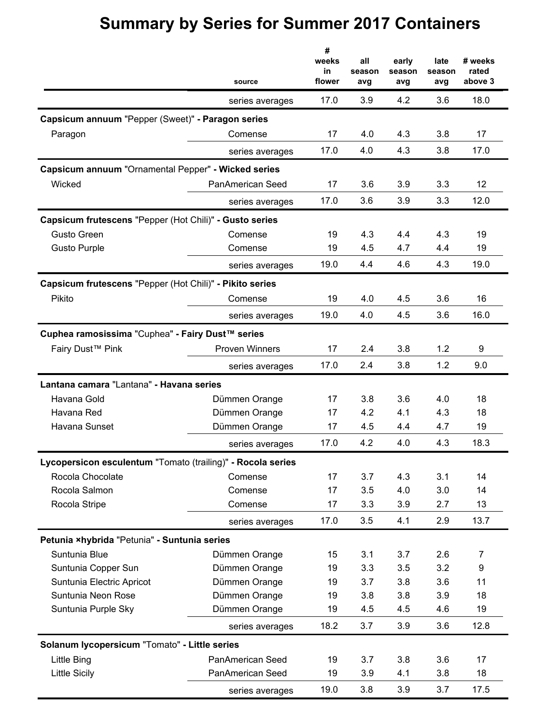## **Summary by Series for Summer 2017 Containers**

|                                                             | source                | #<br>weeks<br>in<br>flower | all<br>season<br>avg | early<br>season<br>avg | late<br>season<br>avg | # weeks<br>rated<br>above 3 |
|-------------------------------------------------------------|-----------------------|----------------------------|----------------------|------------------------|-----------------------|-----------------------------|
|                                                             | series averages       | 17.0                       | 3.9                  | 4.2                    | 3.6                   | 18.0                        |
| Capsicum annuum "Pepper (Sweet)" - Paragon series           |                       |                            |                      |                        |                       |                             |
| Paragon                                                     | Comense               | 17                         | 4.0                  | 4.3                    | 3.8                   | 17                          |
|                                                             | series averages       | 17.0                       | 4.0                  | 4.3                    | 3.8                   | 17.0                        |
| Capsicum annuum "Ornamental Pepper" - Wicked series         |                       |                            |                      |                        |                       |                             |
| Wicked                                                      | PanAmerican Seed      | 17                         | 3.6                  | 3.9                    | 3.3                   | 12                          |
|                                                             | series averages       | 17.0                       | 3.6                  | 3.9                    | 3.3                   | 12.0                        |
| Capsicum frutescens "Pepper (Hot Chili)" - Gusto series     |                       |                            |                      |                        |                       |                             |
| <b>Gusto Green</b>                                          | Comense               | 19                         | 4.3                  | 4.4                    | 4.3                   | 19                          |
| <b>Gusto Purple</b>                                         | Comense               | 19                         | 4.5                  | 4.7                    | 4.4                   | 19                          |
|                                                             | series averages       | 19.0                       | 4.4                  | 4.6                    | 4.3                   | 19.0                        |
| Capsicum frutescens "Pepper (Hot Chili)" - Pikito series    |                       |                            |                      |                        |                       |                             |
| Pikito                                                      | Comense               | 19                         | 4.0                  | 4.5                    | 3.6                   | 16                          |
|                                                             | series averages       | 19.0                       | 4.0                  | 4.5                    | 3.6                   | 16.0                        |
| Cuphea ramosissima "Cuphea" - Fairy Dust™ series            |                       |                            |                      |                        |                       |                             |
| Fairy Dust <sup>™</sup> Pink                                | <b>Proven Winners</b> | 17                         | 2.4                  | 3.8                    | 1.2                   | 9                           |
|                                                             | series averages       | 17.0                       | 2.4                  | 3.8                    | 1.2                   | 9.0                         |
| Lantana camara "Lantana" - Havana series                    |                       |                            |                      |                        |                       |                             |
| Havana Gold                                                 | Dümmen Orange         | 17                         | 3.8                  | 3.6                    | 4.0                   | 18                          |
| Havana Red                                                  | Dümmen Orange         | 17                         | 4.2                  | 4.1                    | 4.3                   | 18                          |
| Havana Sunset                                               | Dümmen Orange         | 17                         | 4.5                  | 4.4                    | 4.7                   | 19                          |
|                                                             | series averages       | 17.0                       | 4.2                  | 4.0                    | 4.3                   | 18.3                        |
| Lycopersicon esculentum "Tomato (trailing)" - Rocola series |                       |                            |                      |                        |                       |                             |
| Rocola Chocolate                                            | Comense               | 17                         | 3.7                  | 4.3                    | 3.1                   | 14                          |
| Rocola Salmon                                               | Comense               | 17                         | 3.5                  | 4.0                    | 3.0                   | 14                          |
| Rocola Stripe                                               | Comense               | 17                         | 3.3                  | 3.9                    | 2.7                   | 13                          |
|                                                             | series averages       | 17.0                       | 3.5                  | 4.1                    | 2.9                   | 13.7                        |
| Petunia ×hybrida "Petunia" - Suntunia series                |                       |                            |                      |                        |                       |                             |
| Suntunia Blue                                               | Dümmen Orange         | 15                         | 3.1                  | 3.7                    | 2.6                   | 7                           |
| Suntunia Copper Sun                                         | Dümmen Orange         | 19                         | 3.3                  | 3.5                    | 3.2                   | 9                           |
| Suntunia Electric Apricot                                   | Dümmen Orange         | 19                         | 3.7                  | 3.8                    | 3.6                   | 11                          |
| Suntunia Neon Rose                                          | Dümmen Orange         | 19                         | 3.8                  | 3.8                    | 3.9                   | 18                          |
| Suntunia Purple Sky                                         | Dümmen Orange         | 19                         | 4.5                  | 4.5                    | 4.6                   | 19                          |
|                                                             | series averages       | 18.2                       | 3.7                  | 3.9                    | 3.6                   | 12.8                        |
| Solanum lycopersicum "Tomato" - Little series               |                       |                            |                      |                        |                       |                             |
| Little Bing                                                 | PanAmerican Seed      | 19                         | 3.7                  | 3.8                    | 3.6                   | 17                          |
| <b>Little Sicily</b>                                        | PanAmerican Seed      | 19                         | 3.9                  | 4.1                    | 3.8                   | 18                          |
|                                                             | series averages       | 19.0                       | 3.8                  | 3.9                    | 3.7                   | 17.5                        |